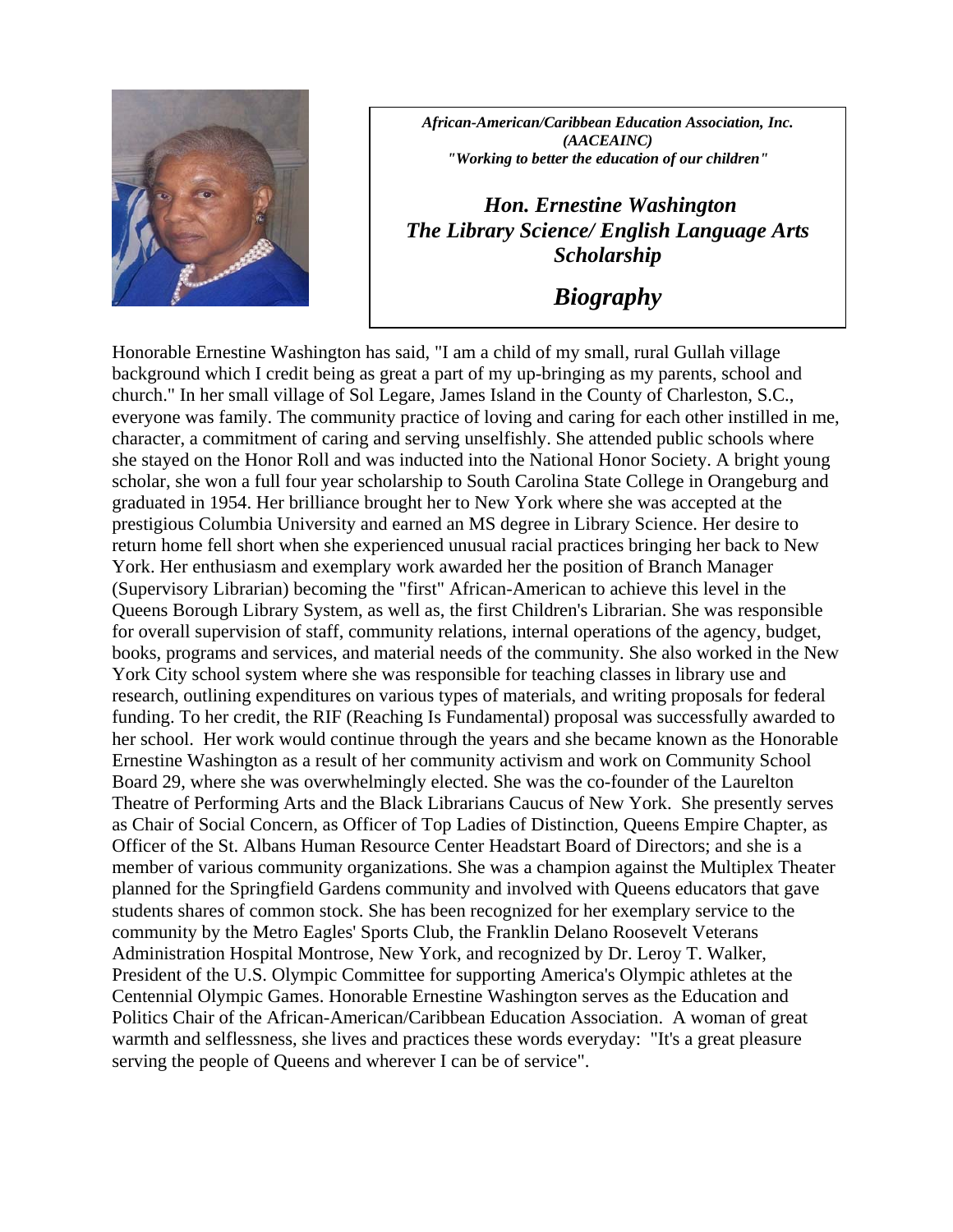

*African-American/Caribbean Education Association, Inc. (AACEAINC) "Working to better the education of our children"* 

 *Hon. Ernestine Washington The Library Science/ English Language Arts Scholarship* 

*Biography* 

Honorable Ernestine Washington has said, "I am a child of my small, rural Gullah village background which I credit being as great a part of my up-bringing as my parents, school and church." In her small village of Sol Legare, James Island in the County of Charleston, S.C., everyone was family. The community practice of loving and caring for each other instilled in me, character, a commitment of caring and serving unselfishly. She attended public schools where she stayed on the Honor Roll and was inducted into the National Honor Society. A bright young scholar, she won a full four year scholarship to South Carolina State College in Orangeburg and graduated in 1954. Her brilliance brought her to New York where she was accepted at the prestigious Columbia University and earned an MS degree in Library Science. Her desire to return home fell short when she experienced unusual racial practices bringing her back to New York. Her enthusiasm and exemplary work awarded her the position of Branch Manager (Supervisory Librarian) becoming the "first" African-American to achieve this level in the Queens Borough Library System, as well as, the first Children's Librarian. She was responsible for overall supervision of staff, community relations, internal operations of the agency, budget, books, programs and services, and material needs of the community. She also worked in the New York City school system where she was responsible for teaching classes in library use and research, outlining expenditures on various types of materials, and writing proposals for federal funding. To her credit, the RIF (Reaching Is Fundamental) proposal was successfully awarded to her school. Her work would continue through the years and she became known as the Honorable Ernestine Washington as a result of her community activism and work on Community School Board 29, where she was overwhelmingly elected. She was the co-founder of the Laurelton Theatre of Performing Arts and the Black Librarians Caucus of New York. She presently serves as Chair of Social Concern, as Officer of Top Ladies of Distinction, Queens Empire Chapter, as Officer of the St. Albans Human Resource Center Headstart Board of Directors; and she is a member of various community organizations. She was a champion against the Multiplex Theater planned for the Springfield Gardens community and involved with Queens educators that gave students shares of common stock. She has been recognized for her exemplary service to the community by the Metro Eagles' Sports Club, the Franklin Delano Roosevelt Veterans Administration Hospital Montrose, New York, and recognized by Dr. Leroy T. Walker, President of the U.S. Olympic Committee for supporting America's Olympic athletes at the Centennial Olympic Games. Honorable Ernestine Washington serves as the Education and Politics Chair of the African-American/Caribbean Education Association. A woman of great warmth and selflessness, she lives and practices these words everyday: "It's a great pleasure serving the people of Queens and wherever I can be of service".